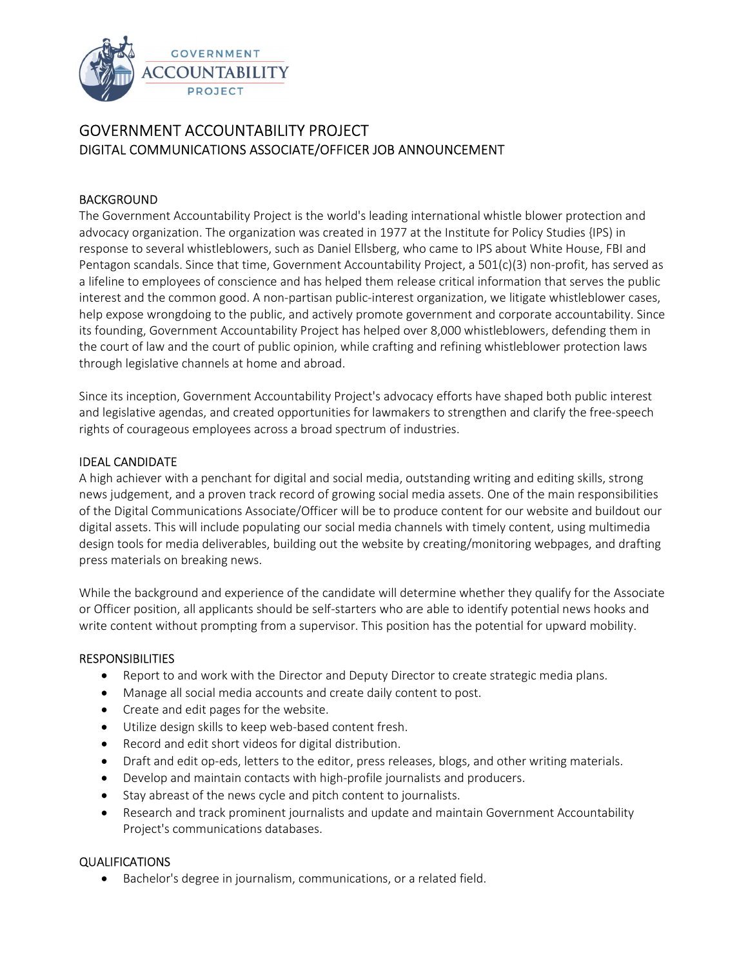

# GOVERNMENT ACCOUNTABILITY PROJECT DIGITAL COMMUNICATIONS ASSOCIATE/OFFICER JOB ANNOUNCEMENT

## BACKGROUND

The Government Accountability Project is the world's leading international whistle blower protection and advocacy organization. The organization was created in 1977 at the Institute for Policy Studies {IPS) in response to several whistleblowers, such as Daniel Ellsberg, who came to IPS about White House, FBI and Pentagon scandals. Since that time, Government Accountability Project, a 501(c)(3) non-profit, has served as a lifeline to employees of conscience and has helped them release critical information that serves the public interest and the common good. A non-partisan public-interest organization, we litigate whistleblower cases, help expose wrongdoing to the public, and actively promote government and corporate accountability. Since its founding, Government Accountability Project has helped over 8,000 whistleblowers, defending them in the court of law and the court of public opinion, while crafting and refining whistleblower protection laws through legislative channels at home and abroad.

Since its inception, Government Accountability Project's advocacy efforts have shaped both public interest and legislative agendas, and created opportunities for lawmakers to strengthen and clarify the free-speech rights of courageous employees across a broad spectrum of industries.

#### IDEAL CANDIDATE

A high achiever with a penchant for digital and social media, outstanding writing and editing skills, strong news judgement, and a proven track record of growing social media assets. One of the main responsibilities of the Digital Communications Associate/Officer will be to produce content for our website and buildout our digital assets. This will include populating our social media channels with timely content, using multimedia design tools for media deliverables, building out the website by creating/monitoring webpages, and drafting press materials on breaking news.

While the background and experience of the candidate will determine whether they qualify for the Associate or Officer position, all applicants should be self-starters who are able to identify potential news hooks and write content without prompting from a supervisor. This position has the potential for upward mobility.

#### **RESPONSIBILITIES**

- Report to and work with the Director and Deputy Director to create strategic media plans.
- Manage all social media accounts and create daily content to post.
- Create and edit pages for the website.
- Utilize design skills to keep web-based content fresh.
- Record and edit short videos for digital distribution.
- Draft and edit op-eds, letters to the editor, press releases, blogs, and other writing materials.
- Develop and maintain contacts with high-profile journalists and producers.
- Stay abreast of the news cycle and pitch content to journalists.
- Research and track prominent journalists and update and maintain Government Accountability Project's communications databases.

#### QUALIFICATIONS

Bachelor's degree in journalism, communications, or a related field.